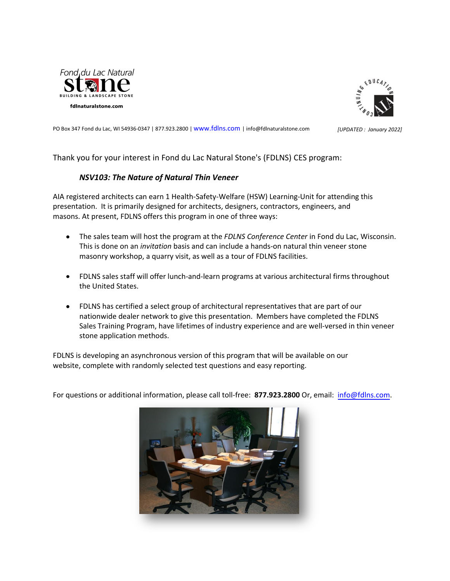



PO Box 347 Fond du Lac, WI 54936-0347 | 877.923.2800 | www.**fdlns.**com | info@**fdlnaturalstone.com** *[UPDATED : January 2022]* 

Thank you for your interest in **Fond du Lac Natural Stone's (FDLNS)** CES program:

#### *NSV103: The Nature of Natural Thin Veneer*

AIA registered architects can earn 1 Health-Safety-Welfare (HSW) Learning-Unit for attending this presentation. It is primarily designed for architects, designers, contractors, engineers, and masons. At present, **FDLNS** offers this program in one of three ways:

- The sales team will host the program at the *FDLNS Conference Center* in Fond du Lac, Wisconsin. This is done on an *invitation* basis and can include a hands-on natural thin veneer stone masonry workshop, a quarry visit, as well as a tour of **FDLNS** facilities.
- **FDLNS** sales staff will offer lunch-and-learn programs at various architectural firms throughout the United States.
- **FDLNS** has certified a select group of architectural representatives that are part of our  $\bullet$ nationwide dealer network to give this presentation. Members have completed the **FDLNS** Sales Training Program, have lifetimes of industry experience and are well-versed in thin veneer stone application methods.

**FDLNS** is developing an asynchronous version of this program that will be available on our website, complete with randomly selected test questions and easy reporting.

For questions or additional information, please call toll-free: **877.923.2800** Or, email: info@**[fdlns.com](mailto:info@nsvi.com)**.